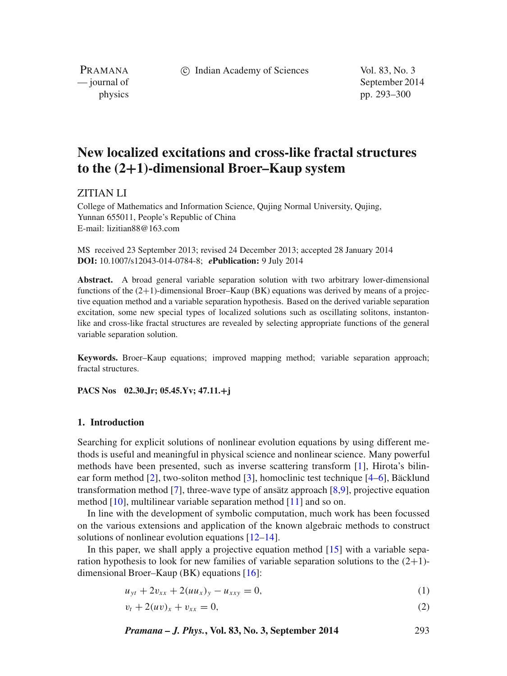c Indian Academy of Sciences Vol. 83, No. 3

PRAMANA

— journal of September 2014 physics pp. 293–300

# **New localized excitations and cross-like fractal structures to the (2+1)-dimensional Broer–Kaup system**

# ZITIAN LI

College of Mathematics and Information Science, Qujing Normal University, Qujing, Yunnan 655011, People's Republic of China E-mail: lizitian88@163.com

MS received 23 September 2013; revised 24 December 2013; accepted 28 January 2014 **DOI:** 10.1007/s12043-014-0784-8; *e***Publication:** 9 July 2014

**Abstract.** A broad general variable separation solution with two arbitrary lower-dimensional functions of the  $(2+1)$ -dimensional Broer–Kaup (BK) equations was derived by means of a projective equation method and a variable separation hypothesis. Based on the derived variable separation excitation, some new special types of localized solutions such as oscillating solitons, instantonlike and cross-like fractal structures are revealed by selecting appropriate functions of the general variable separation solution.

**Keywords.** Broer–Kaup equations; improved mapping method; variable separation approach; fractal structures.

**PACS Nos 02.30.Jr; 05.45.Yv; 47.11.+j**

## **1. Introduction**

Searching for explicit solutions of nonlinear evolution equations by using different methods is useful and meaningful in physical science and nonlinear science. Many powerful methods have been presented, such as inverse scattering transform [\[1\]](#page-6-0), Hirota's bilinear form method [\[2\]](#page-6-1), two-soliton method [\[3\]](#page-6-2), homoclinic test technique [\[4–](#page-6-3)[6\]](#page-6-4), Bäcklund transformation method [\[7\]](#page-6-5), three-wave type of ansätz approach [\[8,](#page-6-6)[9\]](#page-6-7), projective equation method [\[10\]](#page-6-8), multilinear variable separation method [\[11\]](#page-6-9) and so on.

In line with the development of symbolic computation, much work has been focussed on the various extensions and application of the known algebraic methods to construct solutions of nonlinear evolution equations [\[12](#page-6-10)[–14\]](#page-6-11).

In this paper, we shall apply a projective equation method  $[15]$  with a variable separation hypothesis to look for new families of variable separation solutions to the  $(2+1)$ dimensional Broer–Kaup (BK) equations [\[16\]](#page-7-0):

<span id="page-0-0"></span>
$$
u_{yt} + 2v_{xx} + 2(uu_x)_y - u_{xxy} = 0,
$$
\n(1)

<span id="page-0-1"></span>
$$
v_t + 2(uv)_x + v_{xx} = 0,
$$
\n(2)

*Pramana – J. Phys.***, Vol. 83, No. 3, September 2014** 293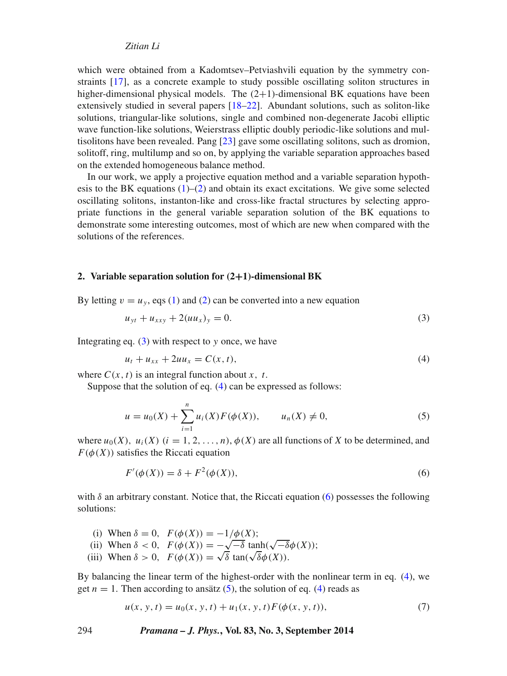which were obtained from a Kadomtsev–Petviashvili equation by the symmetry constraints [\[17\]](#page-7-1), as a concrete example to study possible oscillating soliton structures in higher-dimensional physical models. The  $(2+1)$ -dimensional BK equations have been extensively studied in several papers [\[18](#page-7-2)[–22\]](#page-7-3). Abundant solutions, such as soliton-like solutions, triangular-like solutions, single and combined non-degenerate Jacobi elliptic wave function-like solutions, Weierstrass elliptic doubly periodic-like solutions and multisolitons have been revealed. Pang [\[23\]](#page-7-4) gave some oscillating solitons, such as dromion, solitoff, ring, multilump and so on, by applying the variable separation approaches based on the extended homogeneous balance method.

In our work, we apply a projective equation method and a variable separation hypothesis to the BK equations  $(1)$ – $(2)$  and obtain its exact excitations. We give some selected oscillating solitons, instanton-like and cross-like fractal structures by selecting appropriate functions in the general variable separation solution of the BK equations to demonstrate some interesting outcomes, most of which are new when compared with the solutions of the references.

#### **2. Variable separation solution for (2+1)-dimensional BK**

By letting  $v = u<sub>v</sub>$ , eqs [\(1\)](#page-0-0) and [\(2\)](#page-0-1) can be converted into a new equation

<span id="page-1-0"></span>
$$
u_{yt} + u_{xxy} + 2(uu_x)_y = 0.
$$
 (3)

Integrating eq. [\(3\)](#page-1-0) with respect to *y* once, we have

<span id="page-1-3"></span><span id="page-1-1"></span>
$$
u_t + u_{xx} + 2uu_x = C(x, t),
$$
\n(4)

where  $C(x, t)$  is an integral function about *x*, *t*.

Suppose that the solution of eq. [\(4\)](#page-1-1) can be expressed as follows:

$$
u = u_0(X) + \sum_{i=1}^{n} u_i(X) F(\phi(X)), \qquad u_n(X) \neq 0,
$$
\n(5)

where  $u_0(X)$ ,  $u_i(X)$  ( $i = 1, 2, ..., n$ ),  $\phi(X)$  are all functions of X to be determined, and  $F(\phi(X))$  satisfies the Riccati equation

<span id="page-1-2"></span>
$$
F'(\phi(X)) = \delta + F^2(\phi(X)),\tag{6}
$$

with  $\delta$  an arbitrary constant. Notice that, the Riccati equation [\(6\)](#page-1-2) possesses the following solutions:

- (i) When  $\delta = 0$ ,  $F(\phi(X)) = -1/\phi(X)$ ; (i) When  $\delta$  = 0,  $F(\phi(X)) = -1/\phi(X)$ ;<br>
(ii) When  $\delta$  < 0,  $F(\phi(X)) = -\sqrt{-\delta} \tanh(\sqrt{-\delta}\phi(X))$ ; (ii) When  $\delta > 0$ ,  $F(\phi(X)) = -\sqrt{\delta} \tan(\sqrt{\delta}\phi(X))$ .<br>
(iii) When  $\delta > 0$ ,  $F(\phi(X)) = \sqrt{\delta} \tan(\sqrt{\delta}\phi(X))$ .
- 

By balancing the linear term of the highest-order with the nonlinear term in eq. [\(4\)](#page-1-1), we get  $n = 1$ . Then according to ansätz [\(5\)](#page-1-3), the solution of eq. [\(4\)](#page-1-1) reads as

<span id="page-1-4"></span>
$$
u(x, y, t) = u_0(x, y, t) + u_1(x, y, t) F(\phi(x, y, t)),
$$
\n(7)

294 *Pramana – J. Phys.***, Vol. 83, No. 3, September 2014**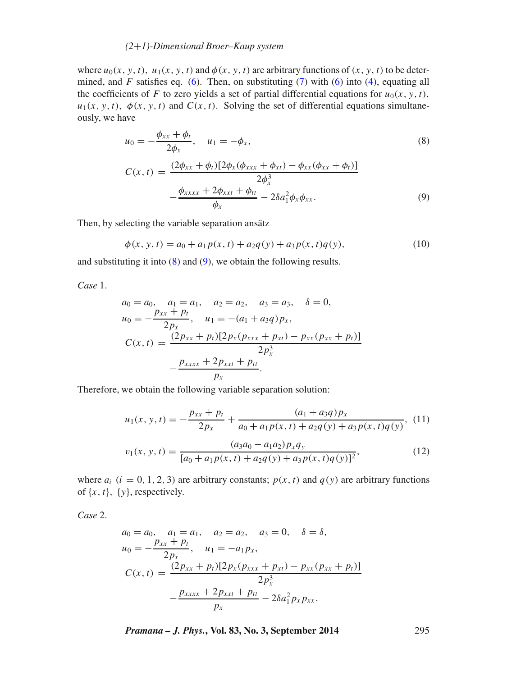## *(2*+*1)-Dimensional Broer–Kaup system*

where  $u_0(x, y, t)$ ,  $u_1(x, y, t)$  and  $\phi(x, y, t)$  are arbitrary functions of  $(x, y, t)$  to be determined, and *F* satisfies eq. [\(6\)](#page-1-2). Then, on substituting [\(7\)](#page-1-4) with (6) into [\(4\)](#page-1-1), equating all the coefficients of *F* to zero yields a set of partial differential equations for  $u_0(x, y, t)$ ,  $u_1(x, y, t)$ ,  $\phi(x, y, t)$  and  $C(x, t)$ . Solving the set of differential equations simultaneously, we have

<span id="page-2-0"></span>
$$
u_0 = -\frac{\phi_{xx} + \phi_t}{2\phi_x}, \quad u_1 = -\phi_x,
$$
  
\n
$$
C(x, t) = \frac{(2\phi_{xx} + \phi_t)[2\phi_x(\phi_{xxx} + \phi_{xt}) - \phi_{xx}(\phi_{xx} + \phi_t)]}{2\phi_x^2}
$$
\n(8)

<span id="page-2-1"></span>
$$
\begin{aligned} \n\mathcal{L}(x,t) &= \frac{2\phi_x^3}{\phi_x} \\ \n-\frac{\phi_{xxxx} + 2\phi_{xxt} + \phi_{tt}}{\phi_x} - 2\delta a_1^2 \phi_x \phi_{xx}. \n\end{aligned} \tag{9}
$$

Then, by selecting the variable separation ansätz

$$
\phi(x, y, t) = a_0 + a_1 p(x, t) + a_2 q(y) + a_3 p(x, t) q(y),
$$
\n(10)

and substituting it into  $(8)$  and  $(9)$ , we obtain the following results.

*Case* 1.

$$
a_0 = a_0, \quad a_1 = a_1, \quad a_2 = a_2, \quad a_3 = a_3, \quad \delta = 0,
$$
  
\n
$$
u_0 = -\frac{p_{xx} + p_t}{2p_x}, \quad u_1 = -(a_1 + a_3q)p_x,
$$
  
\n
$$
C(x, t) = \frac{(2p_{xx} + p_t)[2p_x(p_{xxx} + p_{xt}) - p_{xx}(p_{xx} + p_t)]}{2p_x^3}
$$
  
\n
$$
-\frac{p_{xxxx} + 2p_{xxt} + p_{tt}}{p_x}.
$$

<span id="page-2-3"></span>Therefore, we obtain the following variable separation solution:

<span id="page-2-2"></span>
$$
u_1(x, y, t) = -\frac{p_{xx} + p_t}{2p_x} + \frac{(a_1 + a_3q)p_x}{a_0 + a_1p(x, t) + a_2q(y) + a_3p(x, t)q(y)},
$$
(11)  

$$
v_1(x, y, t) = \frac{(a_3a_0 - a_1a_2)p_xq_y}{[a_0 + a_1p(x, t) + a_2q(y) + a_3p(x, t)q(y)]^2},
$$
(12)

where  $a_i$  ( $i = 0, 1, 2, 3$ ) are arbitrary constants;  $p(x, t)$  and  $q(y)$  are arbitrary functions of  $\{x, t\}$ ,  $\{y\}$ , respectively.

*Case* 2.

$$
a_0 = a_0, \quad a_1 = a_1, \quad a_2 = a_2, \quad a_3 = 0, \quad \delta = \delta,
$$
  
\n
$$
u_0 = -\frac{p_{xx} + p_t}{2p_x}, \quad u_1 = -a_1 p_x,
$$
  
\n
$$
C(x, t) = \frac{(2p_{xx} + p_t)[2p_x(p_{xxx} + p_{xt}) - p_{xx}(p_{xx} + p_t)]}{2p_x^3}
$$
  
\n
$$
-\frac{p_{xxxx} + 2p_{xxt} + p_{tt}}{p_x} - 2\delta a_1^2 p_x p_{xx}.
$$

*Pramana – J. Phys.***, Vol. 83, No. 3, September 2014** 295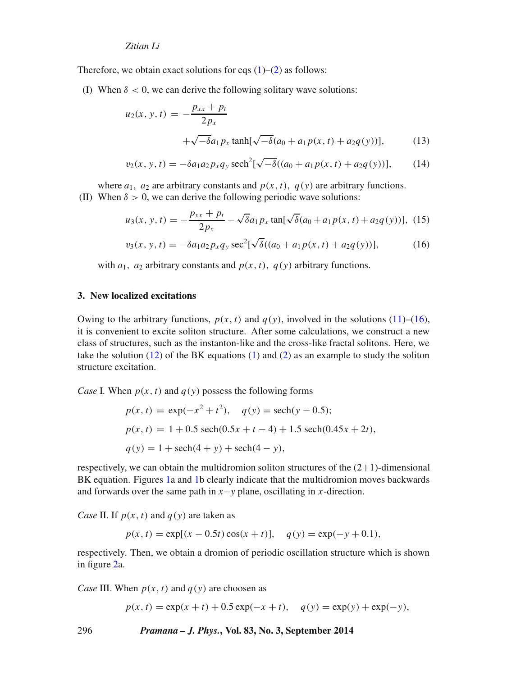Therefore, we obtain exact solutions for eqs  $(1)$ – $(2)$  as follows:

(I) When  $\delta$  < 0, we can derive the following solitary wave solutions:

$$
u_2(x, y, t) = -\frac{p_{xx} + p_t}{2p_x} + \sqrt{-\delta}a_1p_x \tanh[\sqrt{-\delta}(a_0 + a_1p(x, t) + a_2q(y))],
$$
 (13)

$$
v_2(x, y, t) = -\delta a_1 a_2 p_x q_y \operatorname{sech}^2[\sqrt{-\delta}((a_0 + a_1 p(x, t) + a_2 q(y))], \quad (14)
$$

where  $a_1$ ,  $a_2$  are arbitrary constants and  $p(x, t)$ ,  $q(y)$  are arbitrary functions. (II) When  $\delta > 0$ , we can derive the following periodic wave solutions:

$$
u_3(x, y, t) = -\frac{p_{xx} + p_t}{2p_x} - \sqrt{\delta} a_1 p_x \tan[\sqrt{\delta} (a_0 + a_1 p(x, t) + a_2 q(y))],
$$
 (15)

$$
v_3(x, y, t) = -\delta a_1 a_2 p_x q_y \sec^2[\sqrt{\delta}((a_0 + a_1 p(x, t) + a_2 q(y))], \tag{16}
$$

<span id="page-3-0"></span>with  $a_1$ ,  $a_2$  arbitrary constants and  $p(x, t)$ ,  $q(y)$  arbitrary functions.

# **3. New localized excitations**

Owing to the arbitrary functions,  $p(x, t)$  and  $q(y)$ , involved in the solutions [\(11\)](#page-2-2)–[\(16\)](#page-3-0), it is convenient to excite soliton structure. After some calculations, we construct a new class of structures, such as the instanton-like and the cross-like fractal solitons. Here, we take the solution  $(12)$  of the BK equations  $(1)$  and  $(2)$  as an example to study the soliton structure excitation.

*Case* I. When  $p(x, t)$  and  $q(y)$  possess the following forms

$$
p(x, t) = \exp(-x^2 + t^2), \quad q(y) = \operatorname{sech}(y - 0.5);
$$
  
\n
$$
p(x, t) = 1 + 0.5 \operatorname{sech}(0.5x + t - 4) + 1.5 \operatorname{sech}(0.45x + 2t),
$$
  
\n
$$
q(y) = 1 + \operatorname{sech}(4 + y) + \operatorname{sech}(4 - y),
$$

respectively, we can obtain the multidromion soliton structures of the  $(2+1)$ -dimensional BK equation. Figures [1a](#page-4-0) and [1b](#page-4-0) clearly indicate that the multidromion moves backwards and forwards over the same path in  $x$ −*y* plane, oscillating in *x*-direction.

*Case* II. If  $p(x, t)$  and  $q(y)$  are taken as

$$
p(x, t) = \exp[(x - 0.5t)\cos(x + t)], \quad q(y) = \exp(-y + 0.1),
$$

respectively. Then, we obtain a dromion of periodic oscillation structure which is shown in figure [2a](#page-4-1).

*Case* III. When  $p(x, t)$  and  $q(y)$  are choosen as

 $p(x, t) = \exp(x + t) + 0.5 \exp(-x + t), \quad q(y) = \exp(y) + \exp(-y),$ 

296 *Pramana – J. Phys.***, Vol. 83, No. 3, September 2014**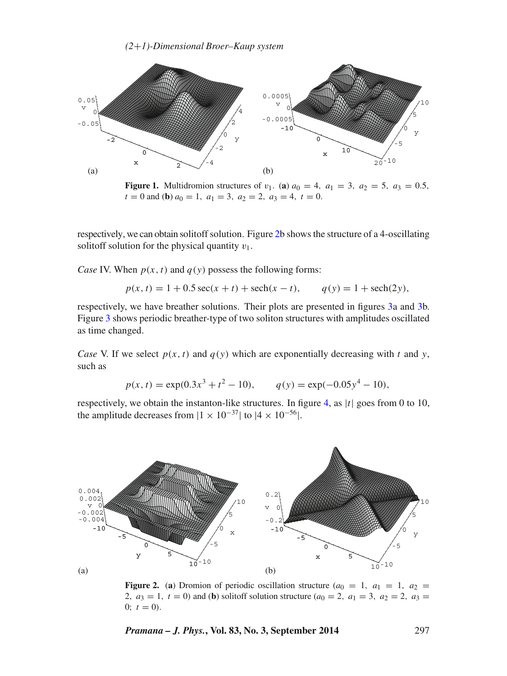*(2*+*1)-Dimensional Broer–Kaup system*

<span id="page-4-0"></span>

**Figure 1.** Multidromion structures of *v*<sub>1</sub>. (a)  $a_0 = 4$ ,  $a_1 = 3$ ,  $a_2 = 5$ ,  $a_3 = 0.5$ ,  $t = 0$  and (**b**)  $a_0 = 1$ ,  $a_1 = 3$ ,  $a_2 = 2$ ,  $a_3 = 4$ ,  $t = 0$ .

respectively, we can obtain solitoff solution. Figure [2b](#page-4-1) shows the structure of a 4-oscillating solitoff solution for the physical quantity  $v_1$ .

*Case* IV. When  $p(x, t)$  and  $q(y)$  possess the following forms:

$$
p(x, t) = 1 + 0.5 \sec(x + t) + \operatorname{sech}(x - t), \qquad q(y) = 1 + \operatorname{sech}(2y),
$$

respectively, we have breather solutions. Their plots are presented in figures [3a](#page-5-0) and [3b](#page-5-0). Figure [3](#page-5-0) shows periodic breather-type of two soliton structures with amplitudes oscillated as time changed.

*Case* V. If we select  $p(x, t)$  and  $q(y)$  which are exponentially decreasing with *t* and *y*, such as

$$
p(x, t) = \exp(0.3x^3 + t^2 - 10), \qquad q(y) = \exp(-0.05y^4 - 10),
$$

respectively, we obtain the instanton-like structures. In figure [4,](#page-5-1) as |*t*| goes from 0 to 10, the amplitude decreases from  $|1 \times 10^{-37}|$  to  $|4 \times 10^{-56}|$ .

<span id="page-4-1"></span>

**Figure 2.** (a) Dromion of periodic oscillation structure  $(a_0 = 1, a_1 = 1, a_2 =$ 2*,*  $a_3 = 1$ ,  $t = 0$ ) and (**b**) solitoff solution structure ( $a_0 = 2$ ,  $a_1 = 3$ ,  $a_2 = 2$ ,  $a_3 = 1$ 0;  $t = 0$ ).

*Pramana – J. Phys.***, Vol. 83, No. 3, September 2014** 297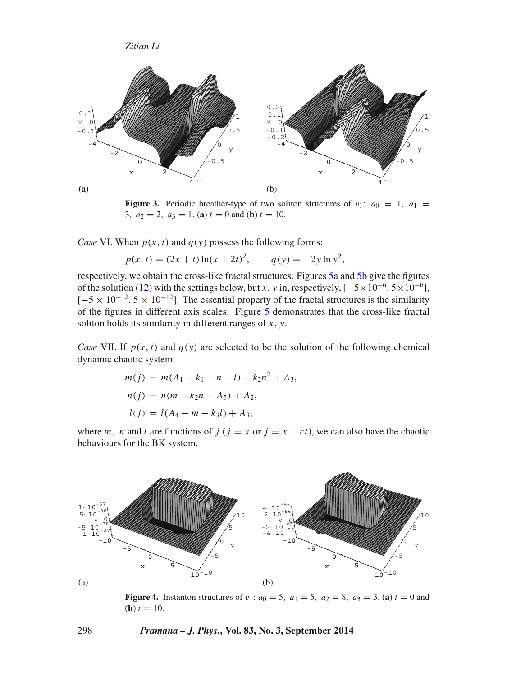<span id="page-5-0"></span>

**Figure 3.** Periodic breather-type of two soliton structures of  $v_1$ :  $a_0 = 1$ ,  $a_1 =$ 3*,*  $a_2 = 2$ *,*  $a_3 = 1$ *.* (**a**)  $t = 0$  and (**b**)  $t = 10$ *.* 

*Case* VI. When  $p(x, t)$  and  $q(y)$  possess the following forms:

$$
p(x, t) = (2x + t) \ln(x + 2t)^2, \qquad q(y) = -2y \ln y^2,
$$

respectively, we obtain the cross-like fractal structures. Figures [5a](#page-6-13) and [5b](#page-6-13) give the figures of the solution [\(12\)](#page-2-3) with the settings below, but *x*, *y* in, respectively,  $[-5 \times 10^{-6}, 5 \times 10^{-6}]$ ,  $[-5 \times 10^{-12}, 5 \times 10^{-12}]$ . The essential property of the fractal structures is the similarity of the figures in different axis scales. Figure [5](#page-6-13) demonstrates that the cross-like fractal soliton holds its similarity in different ranges of *x,y*.

*Case* VII. If  $p(x, t)$  and  $q(y)$  are selected to be the solution of the following chemical dynamic chaotic system:

$$
m(j) = m(A_1 - k_1 - n - l) + k_2 n^2 + A_3,
$$
  
\n
$$
n(j) = n(m - k_2 n - A_5) + A_2,
$$
  
\n
$$
l(j) = l(A_4 - m - k_3 l) + A_3,
$$

where *m*, *n* and *l* are functions of *j* ( $j = x$  or  $j = x - ct$ ), we can also have the chaotic behaviours for the BK system.

<span id="page-5-1"></span>

**Figure 4.** Instanton structures of  $v_1$ :  $a_0 = 5$ ,  $a_1 = 5$ ,  $a_2 = 8$ ,  $a_3 = 3$ . (a)  $t = 0$  and (**b**)  $t = 10$ .

#### 298 *Pramana – J. Phys.***, Vol. 83, No. 3, September 2014**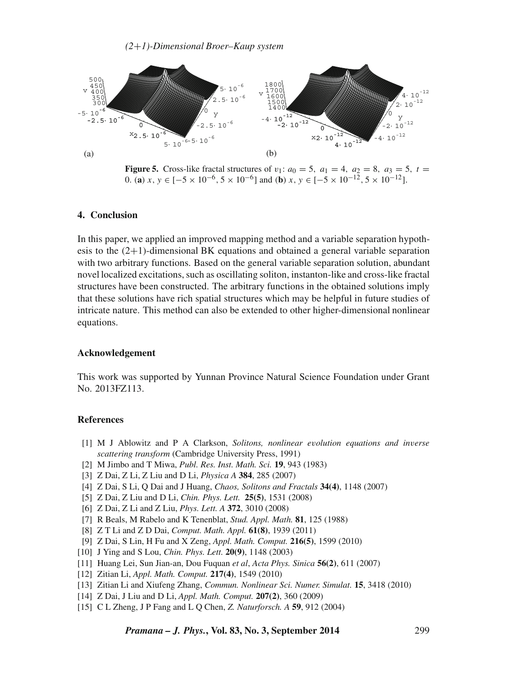<span id="page-6-13"></span>

**Figure 5.** Cross-like fractal structures of  $v_1$ :  $a_0 = 5$ ,  $a_1 = 4$ ,  $a_2 = 8$ ,  $a_3 = 5$ ,  $t =$ 0*.* (**a**)  $x, y \in [-5 \times 10^{-6}, 5 \times 10^{-6}]$  and (**b**)  $x, y \in [-5 \times 10^{-12}, 5 \times 10^{-12}]$ .

# **4. Conclusion**

In this paper, we applied an improved mapping method and a variable separation hypothesis to the  $(2+1)$ -dimensional BK equations and obtained a general variable separation with two arbitrary functions. Based on the general variable separation solution, abundant novel localized excitations, such as oscillating soliton, instanton-like and cross-like fractal structures have been constructed. The arbitrary functions in the obtained solutions imply that these solutions have rich spatial structures which may be helpful in future studies of intricate nature. This method can also be extended to other higher-dimensional nonlinear equations.

#### **Acknowledgement**

This work was supported by Yunnan Province Natural Science Foundation under Grant No. 2013FZ113.

## **References**

- <span id="page-6-0"></span>[1] M J Ablowitz and P A Clarkson, *Solitons, nonlinear evolution equations and inverse scattering transform* (Cambridge University Press, 1991)
- <span id="page-6-1"></span>[2] M Jimbo and T Miwa, *Publ. Res. Inst. Math. Sci.* **19**, 943 (1983)
- <span id="page-6-2"></span>[3] Z Dai, Z Li, Z Liu and D Li, *Physica A* **384**, 285 (2007)
- <span id="page-6-3"></span>[4] Z Dai, S Li, Q Dai and J Huang, *Chaos, Solitons and Fractals* **34(4)**, 1148 (2007)
- [5] Z Dai, Z Liu and D Li, *Chin. Phys. Lett.* **25(5)**, 1531 (2008)
- <span id="page-6-4"></span>[6] Z Dai, Z Li and Z Liu, *Phys. Lett. A* **372**, 3010 (2008)
- <span id="page-6-5"></span>[7] R Beals, M Rabelo and K Tenenblat, *Stud. Appl. Math.* **81**, 125 (1988)
- <span id="page-6-6"></span>[8] Z T Li and Z D Dai, *Comput. Math. Appl.* **61(8)**, 1939 (2011)
- <span id="page-6-7"></span>[9] Z Dai, S Lin, H Fu and X Zeng, *Appl. Math. Comput.* **216(5)**, 1599 (2010)
- <span id="page-6-8"></span>[10] J Ying and S Lou, *Chin. Phys. Lett.* **20(9)**, 1148 (2003)
- <span id="page-6-9"></span>[11] Huang Lei, Sun Jian-an, Dou Fuquan *et al*, *Acta Phys. Sinica* **56(2)**, 611 (2007)
- <span id="page-6-10"></span>[12] Zitian Li, *Appl. Math. Comput.* **217(4)**, 1549 (2010)
- [13] Zitian Li and Xiufeng Zhang, *Commun. Nonlinear Sci. Numer. Simulat.* **15**, 3418 (2010)
- <span id="page-6-11"></span>[14] Z Dai, J Liu and D Li, *Appl. Math. Comput.* **207(2)**, 360 (2009)
- <span id="page-6-12"></span>[15] C L Zheng, J P Fang and L Q Chen, *Z. Naturforsch. A* **59**, 912 (2004)